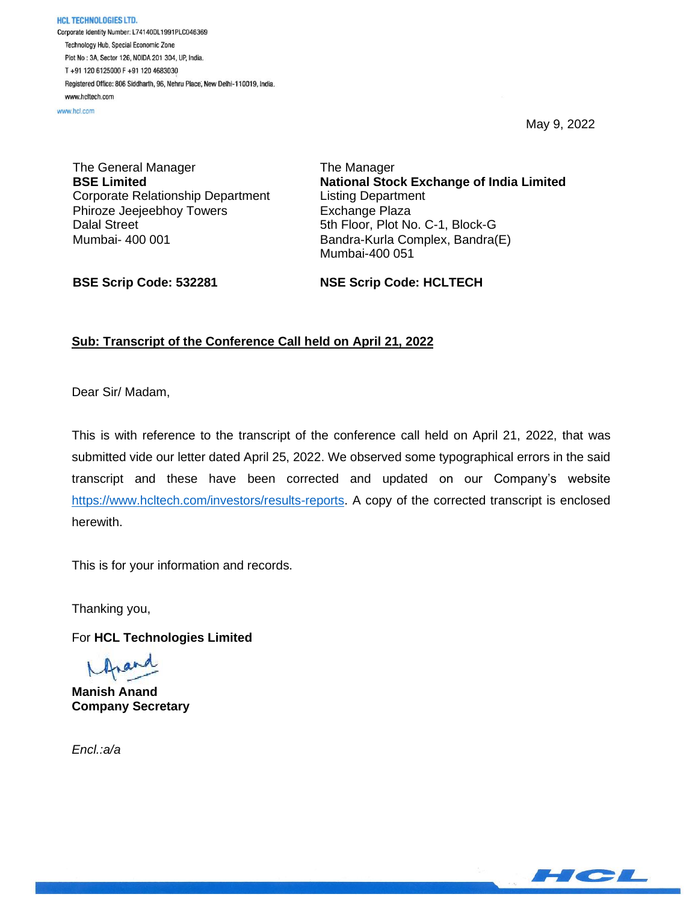**HCL TECHNOLOGIES LTD.** Corporate Identity Number: L74140DL1991PLC046369 Technology Hub, Special Economic Zone Plot No : 3A, Sector 126, NOIDA 201 304, UP, India. T+91 120 6125000 F+91 120 4683030 Registered Office: 806 Siddharth, 96, Nehru Place, New Delhi-110019, India. www.hcltech.com

www.hcl.com

May 9, 2022

The General Manager **BSE Limited** Corporate Relationship Department Phiroze Jeejeebhoy Towers Dalal Street Mumbai- 400 001

The Manager **National Stock Exchange of India Limited** Listing Department Exchange Plaza 5th Floor, Plot No. C-1, Block-G Bandra-Kurla Complex, Bandra(E) Mumbai-400 051

**BSE Scrip Code: 532281**

**NSE Scrip Code: HCLTECH**

## **Sub: Transcript of the Conference Call held on April 21, 2022**

Dear Sir/ Madam,

This is with reference to the transcript of the conference call held on April 21, 2022, that was submitted vide our letter dated April 25, 2022. We observed some typographical errors in the said transcript and these have been corrected and updated on our Company's website [https://www.hcltech.com/investors/results-reports.](https://apc01.safelinks.protection.outlook.com/?url=https%3A%2F%2Fwww.hcltech.com%2Finvestors%2Fresults-reports&data=05%7C01%7Cgopalb%40hcl.com%7C17deb7dafaae4b4119e708da26979c07%7C189de737c93a4f5a8b686f4ca9941912%7C0%7C0%7C637864729837980480%7CUnknown%7CTWFpbGZsb3d8eyJWIjoiMC4wLjAwMDAiLCJQIjoiV2luMzIiLCJBTiI6Ik1haWwiLCJXVCI6Mn0%3D%7C3000%7C%7C%7C&sdata=stEgGoTglE05aFGfx2OhC2cNWMxsSWoMM4V8C2sasBY%3D&reserved=0) A copy of the corrected transcript is enclosed herewith.

This is for your information and records.

Thanking you,

For **HCL Technologies Limited**

rand

**Manish Anand Company Secretary**

*Encl.:a/a*

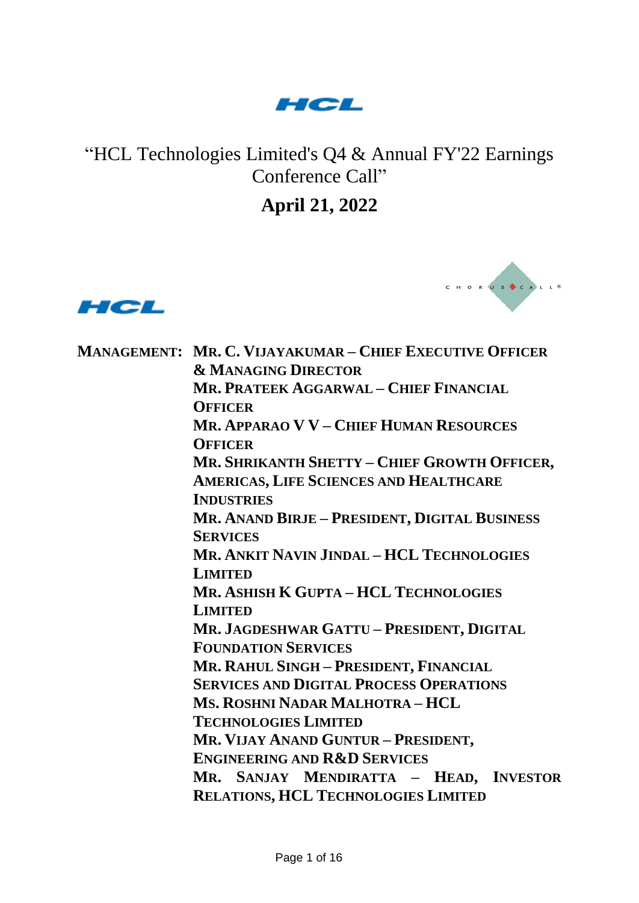

## "HCL Technologies Limited's Q4 & Annual FY'22 Earnings Conference Call"

**April 21, 2022**





**MANAGEMENT: MR. C. VIJAYAKUMAR – CHIEF EXECUTIVE OFFICER & MANAGING DIRECTOR MR. PRATEEK AGGARWAL – CHIEF FINANCIAL OFFICER MR. APPARAO V V – CHIEF HUMAN RESOURCES OFFICER MR. SHRIKANTH SHETTY – CHIEF GROWTH OFFICER, AMERICAS, LIFE SCIENCES AND HEALTHCARE INDUSTRIES MR. ANAND BIRJE – PRESIDENT, DIGITAL BUSINESS SERVICES MR. ANKIT NAVIN JINDAL – HCL TECHNOLOGIES LIMITED MR. ASHISH K GUPTA – HCL TECHNOLOGIES LIMITED MR. JAGDESHWAR GATTU – PRESIDENT, DIGITAL FOUNDATION SERVICES MR. RAHUL SINGH – PRESIDENT, FINANCIAL SERVICES AND DIGITAL PROCESS OPERATIONS MS. ROSHNI NADAR MALHOTRA – HCL TECHNOLOGIES LIMITED MR. VIJAY ANAND GUNTUR – PRESIDENT, ENGINEERING AND R&D SERVICES MR. SANJAY MENDIRATTA – HEAD, INVESTOR RELATIONS, HCL TECHNOLOGIES LIMITED**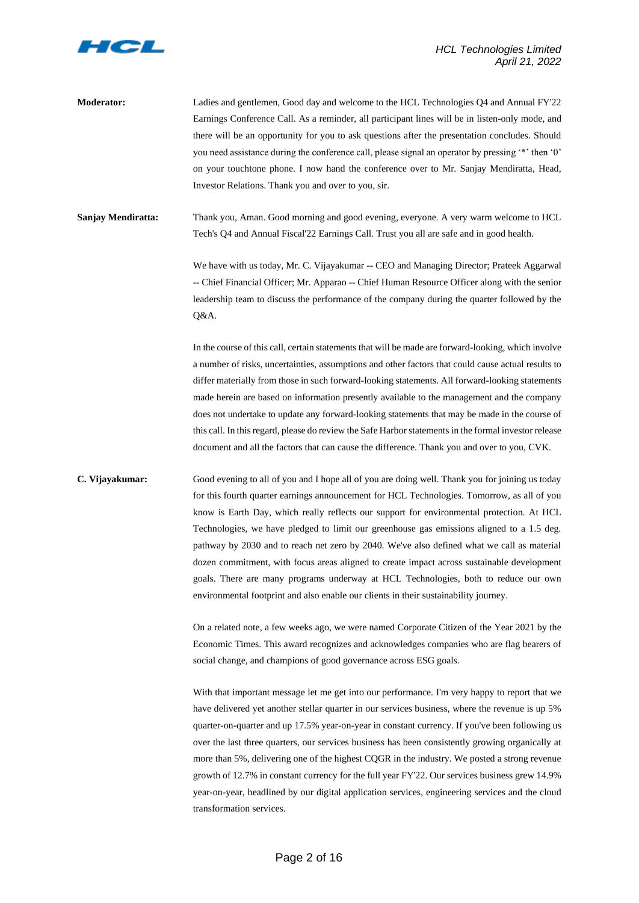

**Moderator:** Ladies and gentlemen, Good day and welcome to the HCL Technologies Q4 and Annual FY'22 Earnings Conference Call. As a reminder, all participant lines will be in listen-only mode, and there will be an opportunity for you to ask questions after the presentation concludes. Should you need assistance during the conference call, please signal an operator by pressing '\*' then '0' on your touchtone phone. I now hand the conference over to Mr. Sanjay Mendiratta, Head, Investor Relations. Thank you and over to you, sir.

**Sanjay Mendiratta:** Thank you, Aman. Good morning and good evening, everyone. A very warm welcome to HCL Tech's Q4 and Annual Fiscal'22 Earnings Call. Trust you all are safe and in good health.

> We have with us today, Mr. C. Vijayakumar -- CEO and Managing Director; Prateek Aggarwal -- Chief Financial Officer; Mr. Apparao -- Chief Human Resource Officer along with the senior leadership team to discuss the performance of the company during the quarter followed by the Q&A.

> In the course of this call, certain statements that will be made are forward-looking, which involve a number of risks, uncertainties, assumptions and other factors that could cause actual results to differ materially from those in such forward-looking statements. All forward-looking statements made herein are based on information presently available to the management and the company does not undertake to update any forward-looking statements that may be made in the course of this call. In this regard, please do review the Safe Harbor statements in the formal investor release document and all the factors that can cause the difference. Thank you and over to you, CVK.

**C. Vijayakumar:** Good evening to all of you and I hope all of you are doing well. Thank you for joining us today for this fourth quarter earnings announcement for HCL Technologies. Tomorrow, as all of you know is Earth Day, which really reflects our support for environmental protection. At HCL Technologies, we have pledged to limit our greenhouse gas emissions aligned to a 1.5 deg. pathway by 2030 and to reach net zero by 2040. We've also defined what we call as material dozen commitment, with focus areas aligned to create impact across sustainable development goals. There are many programs underway at HCL Technologies, both to reduce our own environmental footprint and also enable our clients in their sustainability journey.

> On a related note, a few weeks ago, we were named Corporate Citizen of the Year 2021 by the Economic Times. This award recognizes and acknowledges companies who are flag bearers of social change, and champions of good governance across ESG goals.

> With that important message let me get into our performance. I'm very happy to report that we have delivered yet another stellar quarter in our services business, where the revenue is up 5% quarter-on-quarter and up 17.5% year-on-year in constant currency. If you've been following us over the last three quarters, our services business has been consistently growing organically at more than 5%, delivering one of the highest CQGR in the industry. We posted a strong revenue growth of 12.7% in constant currency for the full year FY'22. Our services business grew 14.9% year-on-year, headlined by our digital application services, engineering services and the cloud transformation services.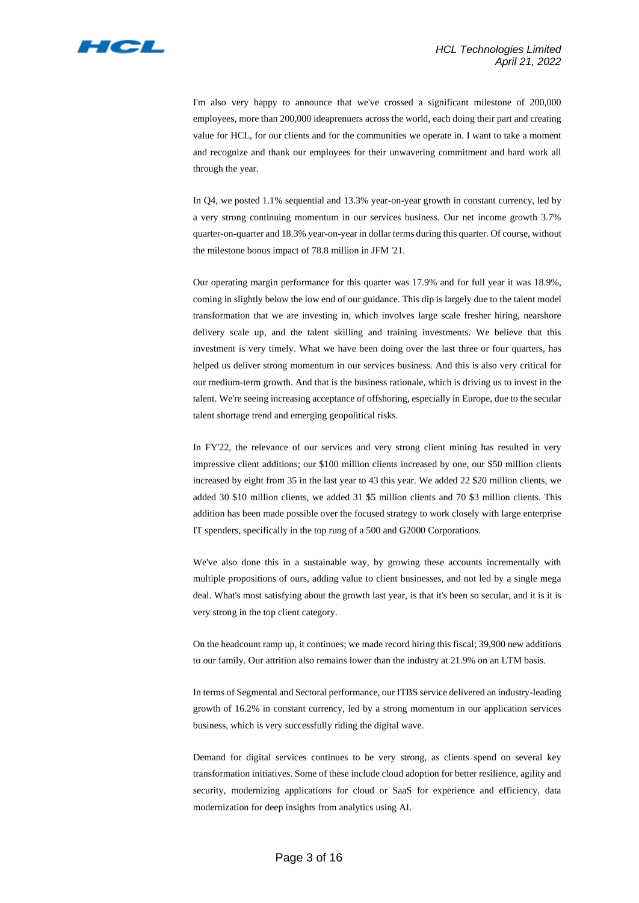

I'm also very happy to announce that we've crossed a significant milestone of 200,000 employees, more than 200,000 ideaprenuers across the world, each doing their part and creating value for HCL, for our clients and for the communities we operate in. I want to take a moment and recognize and thank our employees for their unwavering commitment and hard work all through the year.

In Q4, we posted 1.1% sequential and 13.3% year-on-year growth in constant currency, led by a very strong continuing momentum in our services business. Our net income growth 3.7% quarter-on-quarter and 18.3% year-on-year in dollar terms during this quarter. Of course, without the milestone bonus impact of 78.8 million in JFM '21.

Our operating margin performance for this quarter was 17.9% and for full year it was 18.9%, coming in slightly below the low end of our guidance. This dip is largely due to the talent model transformation that we are investing in, which involves large scale fresher hiring, nearshore delivery scale up, and the talent skilling and training investments. We believe that this investment is very timely. What we have been doing over the last three or four quarters, has helped us deliver strong momentum in our services business. And this is also very critical for our medium-term growth. And that is the business rationale, which is driving us to invest in the talent. We're seeing increasing acceptance of offshoring, especially in Europe, due to the secular talent shortage trend and emerging geopolitical risks.

In FY'22, the relevance of our services and very strong client mining has resulted in very impressive client additions; our \$100 million clients increased by one, our \$50 million clients increased by eight from 35 in the last year to 43 this year. We added 22 \$20 million clients, we added 30 \$10 million clients, we added 31 \$5 million clients and 70 \$3 million clients. This addition has been made possible over the focused strategy to work closely with large enterprise IT spenders, specifically in the top rung of a 500 and G2000 Corporations.

We've also done this in a sustainable way, by growing these accounts incrementally with multiple propositions of ours, adding value to client businesses, and not led by a single mega deal. What's most satisfying about the growth last year, is that it's been so secular, and it is it is very strong in the top client category.

On the headcount ramp up, it continues; we made record hiring this fiscal; 39,900 new additions to our family. Our attrition also remains lower than the industry at 21.9% on an LTM basis.

In terms of Segmental and Sectoral performance, our ITBS service delivered an industry-leading growth of 16.2% in constant currency, led by a strong momentum in our application services business, which is very successfully riding the digital wave.

Demand for digital services continues to be very strong, as clients spend on several key transformation initiatives. Some of these include cloud adoption for better resilience, agility and security, modernizing applications for cloud or SaaS for experience and efficiency, data modernization for deep insights from analytics using AI.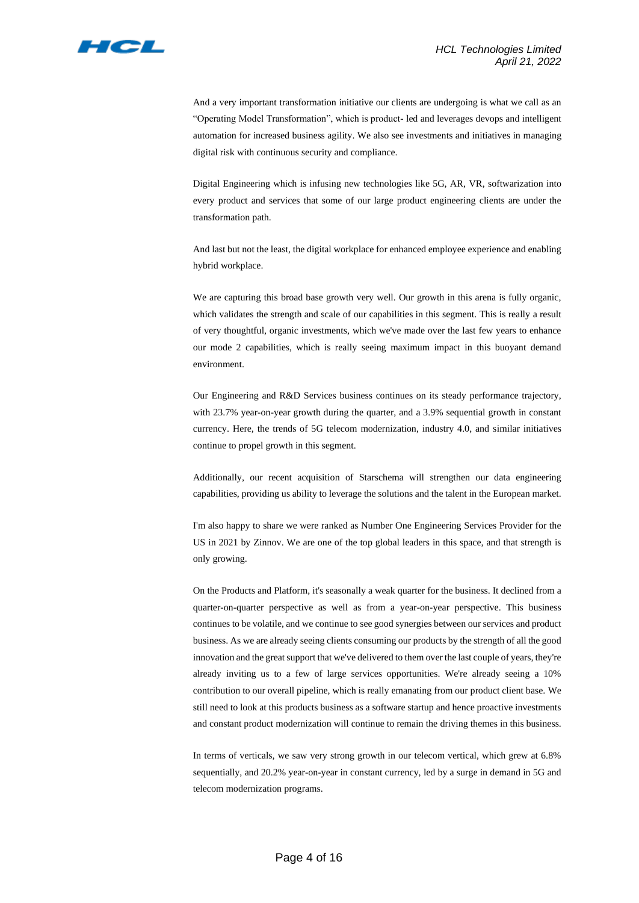

And a very important transformation initiative our clients are undergoing is what we call as an "Operating Model Transformation", which is product- led and leverages devops and intelligent automation for increased business agility. We also see investments and initiatives in managing digital risk with continuous security and compliance.

Digital Engineering which is infusing new technologies like 5G, AR, VR, softwarization into every product and services that some of our large product engineering clients are under the transformation path.

And last but not the least, the digital workplace for enhanced employee experience and enabling hybrid workplace.

We are capturing this broad base growth very well. Our growth in this arena is fully organic, which validates the strength and scale of our capabilities in this segment. This is really a result of very thoughtful, organic investments, which we've made over the last few years to enhance our mode 2 capabilities, which is really seeing maximum impact in this buoyant demand environment.

Our Engineering and R&D Services business continues on its steady performance trajectory, with 23.7% year-on-year growth during the quarter, and a 3.9% sequential growth in constant currency. Here, the trends of 5G telecom modernization, industry 4.0, and similar initiatives continue to propel growth in this segment.

Additionally, our recent acquisition of Starschema will strengthen our data engineering capabilities, providing us ability to leverage the solutions and the talent in the European market.

I'm also happy to share we were ranked as Number One Engineering Services Provider for the US in 2021 by Zinnov. We are one of the top global leaders in this space, and that strength is only growing.

On the Products and Platform, it's seasonally a weak quarter for the business. It declined from a quarter-on-quarter perspective as well as from a year-on-year perspective. This business continues to be volatile, and we continue to see good synergies between our services and product business. As we are already seeing clients consuming our products by the strength of all the good innovation and the great support that we've delivered to them over the last couple of years, they're already inviting us to a few of large services opportunities. We're already seeing a 10% contribution to our overall pipeline, which is really emanating from our product client base. We still need to look at this products business as a software startup and hence proactive investments and constant product modernization will continue to remain the driving themes in this business.

In terms of verticals, we saw very strong growth in our telecom vertical, which grew at 6.8% sequentially, and 20.2% year-on-year in constant currency, led by a surge in demand in 5G and telecom modernization programs.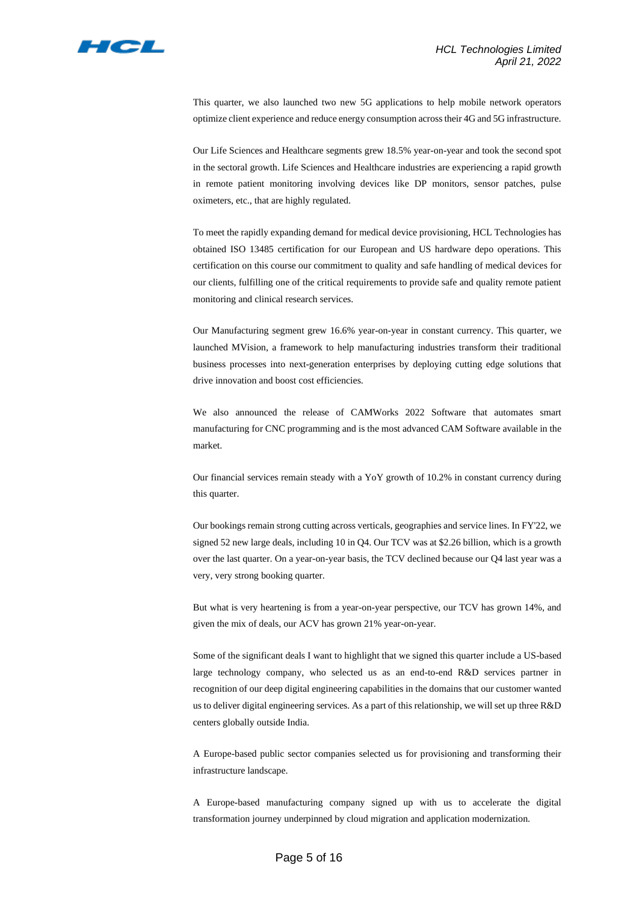

This quarter, we also launched two new 5G applications to help mobile network operators optimize client experience and reduce energy consumption across their 4G and 5G infrastructure.

Our Life Sciences and Healthcare segments grew 18.5% year-on-year and took the second spot in the sectoral growth. Life Sciences and Healthcare industries are experiencing a rapid growth in remote patient monitoring involving devices like DP monitors, sensor patches, pulse oximeters, etc., that are highly regulated.

To meet the rapidly expanding demand for medical device provisioning, HCL Technologies has obtained ISO 13485 certification for our European and US hardware depo operations. This certification on this course our commitment to quality and safe handling of medical devices for our clients, fulfilling one of the critical requirements to provide safe and quality remote patient monitoring and clinical research services.

Our Manufacturing segment grew 16.6% year-on-year in constant currency. This quarter, we launched MVision, a framework to help manufacturing industries transform their traditional business processes into next-generation enterprises by deploying cutting edge solutions that drive innovation and boost cost efficiencies.

We also announced the release of CAMWorks 2022 Software that automates smart manufacturing for CNC programming and is the most advanced CAM Software available in the market.

Our financial services remain steady with a YoY growth of 10.2% in constant currency during this quarter.

Our bookings remain strong cutting across verticals, geographies and service lines. In FY'22, we signed 52 new large deals, including 10 in Q4. Our TCV was at \$2.26 billion, which is a growth over the last quarter. On a year-on-year basis, the TCV declined because our Q4 last year was a very, very strong booking quarter.

But what is very heartening is from a year-on-year perspective, our TCV has grown 14%, and given the mix of deals, our ACV has grown 21% year-on-year.

Some of the significant deals I want to highlight that we signed this quarter include a US-based large technology company, who selected us as an end-to-end R&D services partner in recognition of our deep digital engineering capabilities in the domains that our customer wanted us to deliver digital engineering services. As a part of this relationship, we will set up three R&D centers globally outside India.

A Europe-based public sector companies selected us for provisioning and transforming their infrastructure landscape.

A Europe-based manufacturing company signed up with us to accelerate the digital transformation journey underpinned by cloud migration and application modernization.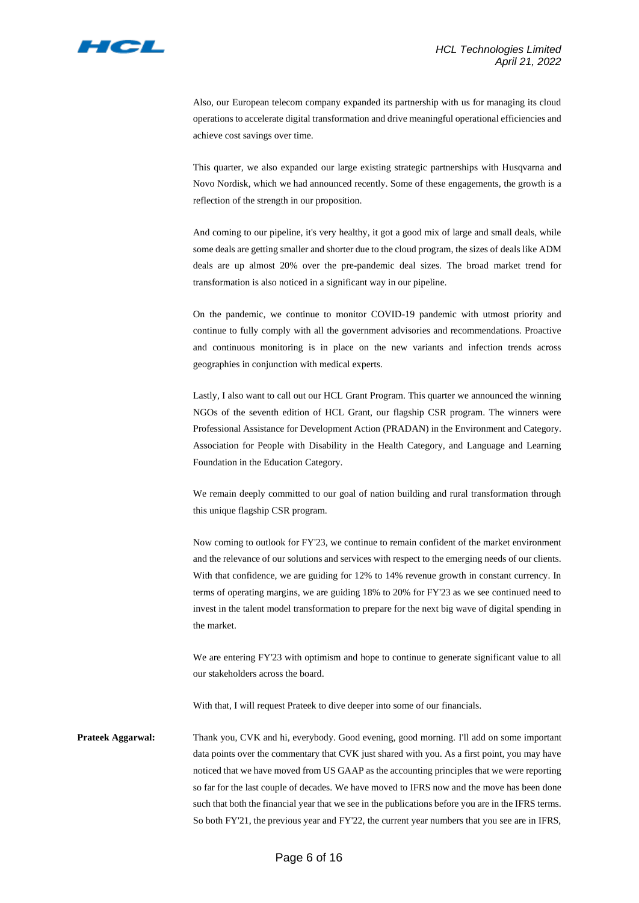

Also, our European telecom company expanded its partnership with us for managing its cloud operations to accelerate digital transformation and drive meaningful operational efficiencies and achieve cost savings over time.

This quarter, we also expanded our large existing strategic partnerships with Husqvarna and Novo Nordisk, which we had announced recently. Some of these engagements, the growth is a reflection of the strength in our proposition.

And coming to our pipeline, it's very healthy, it got a good mix of large and small deals, while some deals are getting smaller and shorter due to the cloud program, the sizes of deals like ADM deals are up almost 20% over the pre-pandemic deal sizes. The broad market trend for transformation is also noticed in a significant way in our pipeline.

On the pandemic, we continue to monitor COVID-19 pandemic with utmost priority and continue to fully comply with all the government advisories and recommendations. Proactive and continuous monitoring is in place on the new variants and infection trends across geographies in conjunction with medical experts.

Lastly, I also want to call out our HCL Grant Program. This quarter we announced the winning NGOs of the seventh edition of HCL Grant, our flagship CSR program. The winners were Professional Assistance for Development Action (PRADAN) in the Environment and Category. Association for People with Disability in the Health Category, and Language and Learning Foundation in the Education Category.

We remain deeply committed to our goal of nation building and rural transformation through this unique flagship CSR program.

Now coming to outlook for FY'23, we continue to remain confident of the market environment and the relevance of our solutions and services with respect to the emerging needs of our clients. With that confidence, we are guiding for 12% to 14% revenue growth in constant currency. In terms of operating margins, we are guiding 18% to 20% for FY'23 as we see continued need to invest in the talent model transformation to prepare for the next big wave of digital spending in the market.

We are entering FY'23 with optimism and hope to continue to generate significant value to all our stakeholders across the board.

With that, I will request Prateek to dive deeper into some of our financials.

**Prateek Aggarwal:** Thank you, CVK and hi, everybody. Good evening, good morning. I'll add on some important data points over the commentary that CVK just shared with you. As a first point, you may have noticed that we have moved from US GAAP as the accounting principles that we were reporting so far for the last couple of decades. We have moved to IFRS now and the move has been done such that both the financial year that we see in the publications before you are in the IFRS terms. So both FY'21, the previous year and FY'22, the current year numbers that you see are in IFRS,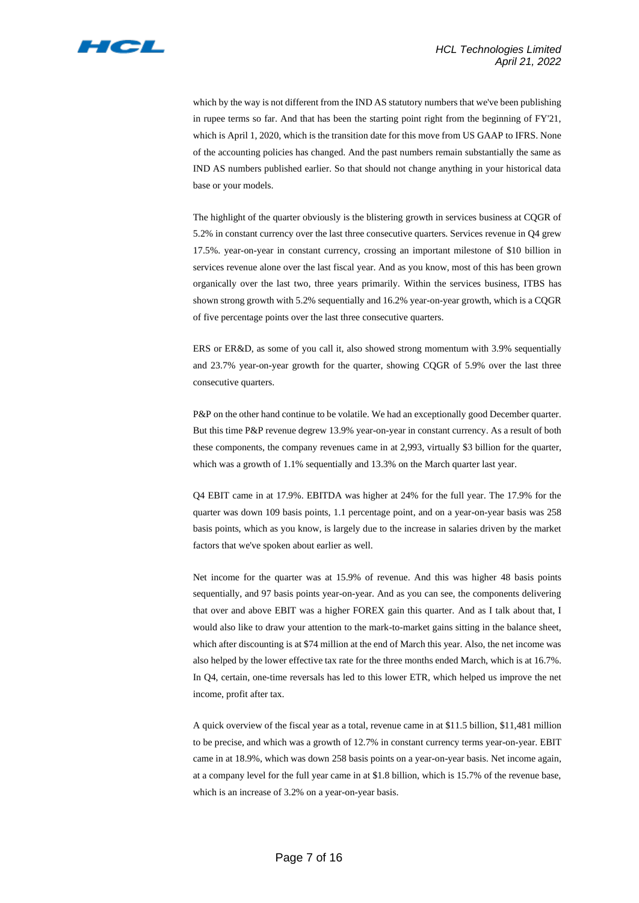

which by the way is not different from the IND AS statutory numbers that we've been publishing in rupee terms so far. And that has been the starting point right from the beginning of FY'21, which is April 1, 2020, which is the transition date for this move from US GAAP to IFRS. None of the accounting policies has changed. And the past numbers remain substantially the same as IND AS numbers published earlier. So that should not change anything in your historical data base or your models.

The highlight of the quarter obviously is the blistering growth in services business at CQGR of 5.2% in constant currency over the last three consecutive quarters. Services revenue in Q4 grew 17.5%. year-on-year in constant currency, crossing an important milestone of \$10 billion in services revenue alone over the last fiscal year. And as you know, most of this has been grown organically over the last two, three years primarily. Within the services business, ITBS has shown strong growth with 5.2% sequentially and 16.2% year-on-year growth, which is a CQGR of five percentage points over the last three consecutive quarters.

ERS or ER&D, as some of you call it, also showed strong momentum with 3.9% sequentially and 23.7% year-on-year growth for the quarter, showing CQGR of 5.9% over the last three consecutive quarters.

P&P on the other hand continue to be volatile. We had an exceptionally good December quarter. But this time P&P revenue degrew 13.9% year-on-year in constant currency. As a result of both these components, the company revenues came in at 2,993, virtually \$3 billion for the quarter, which was a growth of 1.1% sequentially and 13.3% on the March quarter last year.

Q4 EBIT came in at 17.9%. EBITDA was higher at 24% for the full year. The 17.9% for the quarter was down 109 basis points, 1.1 percentage point, and on a year-on-year basis was 258 basis points, which as you know, is largely due to the increase in salaries driven by the market factors that we've spoken about earlier as well.

Net income for the quarter was at 15.9% of revenue. And this was higher 48 basis points sequentially, and 97 basis points year-on-year. And as you can see, the components delivering that over and above EBIT was a higher FOREX gain this quarter. And as I talk about that, I would also like to draw your attention to the mark-to-market gains sitting in the balance sheet, which after discounting is at \$74 million at the end of March this year. Also, the net income was also helped by the lower effective tax rate for the three months ended March, which is at 16.7%. In Q4, certain, one-time reversals has led to this lower ETR, which helped us improve the net income, profit after tax.

A quick overview of the fiscal year as a total, revenue came in at \$11.5 billion, \$11,481 million to be precise, and which was a growth of 12.7% in constant currency terms year-on-year. EBIT came in at 18.9%, which was down 258 basis points on a year-on-year basis. Net income again, at a company level for the full year came in at \$1.8 billion, which is 15.7% of the revenue base, which is an increase of 3.2% on a year-on-year basis.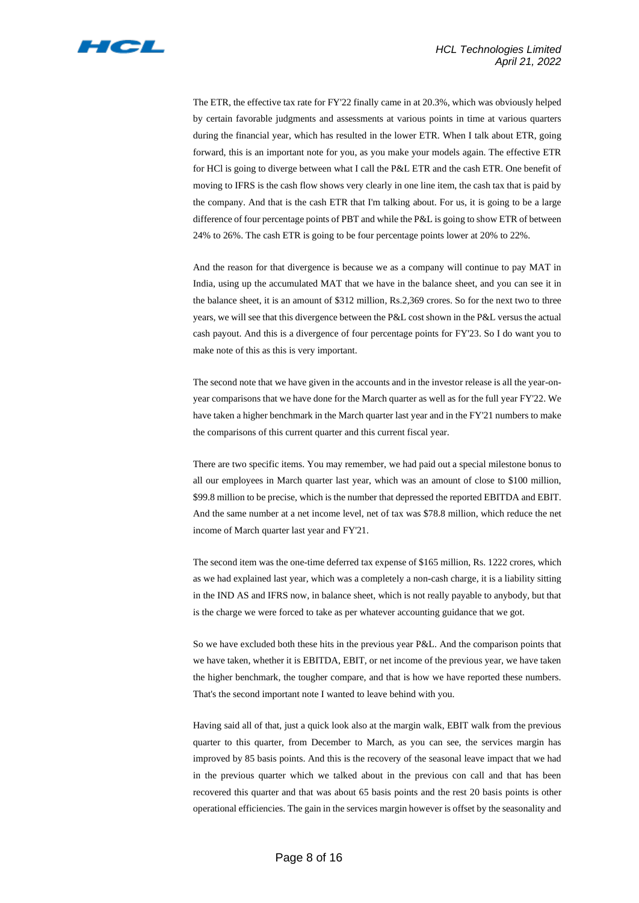

The ETR, the effective tax rate for FY'22 finally came in at 20.3%, which was obviously helped by certain favorable judgments and assessments at various points in time at various quarters during the financial year, which has resulted in the lower ETR. When I talk about ETR, going forward, this is an important note for you, as you make your models again. The effective ETR for HCl is going to diverge between what I call the P&L ETR and the cash ETR. One benefit of moving to IFRS is the cash flow shows very clearly in one line item, the cash tax that is paid by the company. And that is the cash ETR that I'm talking about. For us, it is going to be a large difference of four percentage points of PBT and while the P&L is going to show ETR of between 24% to 26%. The cash ETR is going to be four percentage points lower at 20% to 22%.

And the reason for that divergence is because we as a company will continue to pay MAT in India, using up the accumulated MAT that we have in the balance sheet, and you can see it in the balance sheet, it is an amount of \$312 million, Rs.2,369 crores. So for the next two to three years, we will see that this divergence between the P&L cost shown in the P&L versus the actual cash payout. And this is a divergence of four percentage points for FY'23. So I do want you to make note of this as this is very important.

The second note that we have given in the accounts and in the investor release is all the year-onyear comparisons that we have done for the March quarter as well as for the full year FY'22. We have taken a higher benchmark in the March quarter last year and in the FY'21 numbers to make the comparisons of this current quarter and this current fiscal year.

There are two specific items. You may remember, we had paid out a special milestone bonus to all our employees in March quarter last year, which was an amount of close to \$100 million, \$99.8 million to be precise, which is the number that depressed the reported EBITDA and EBIT. And the same number at a net income level, net of tax was \$78.8 million, which reduce the net income of March quarter last year and FY'21.

The second item was the one-time deferred tax expense of \$165 million, Rs. 1222 crores, which as we had explained last year, which was a completely a non-cash charge, it is a liability sitting in the IND AS and IFRS now, in balance sheet, which is not really payable to anybody, but that is the charge we were forced to take as per whatever accounting guidance that we got.

So we have excluded both these hits in the previous year P&L. And the comparison points that we have taken, whether it is EBITDA, EBIT, or net income of the previous year, we have taken the higher benchmark, the tougher compare, and that is how we have reported these numbers. That's the second important note I wanted to leave behind with you.

Having said all of that, just a quick look also at the margin walk, EBIT walk from the previous quarter to this quarter, from December to March, as you can see, the services margin has improved by 85 basis points. And this is the recovery of the seasonal leave impact that we had in the previous quarter which we talked about in the previous con call and that has been recovered this quarter and that was about 65 basis points and the rest 20 basis points is other operational efficiencies. The gain in the services margin however is offset by the seasonality and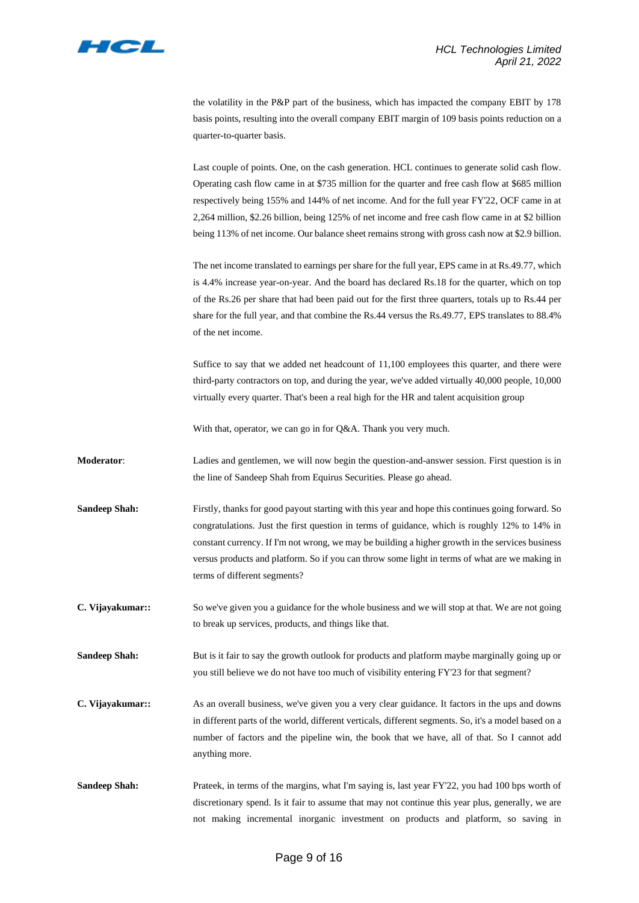

the volatility in the P&P part of the business, which has impacted the company EBIT by 178 basis points, resulting into the overall company EBIT margin of 109 basis points reduction on a quarter-to-quarter basis.

Last couple of points. One, on the cash generation. HCL continues to generate solid cash flow. Operating cash flow came in at \$735 million for the quarter and free cash flow at \$685 million respectively being 155% and 144% of net income. And for the full year FY'22, OCF came in at 2,264 million, \$2.26 billion, being 125% of net income and free cash flow came in at \$2 billion being 113% of net income. Our balance sheet remains strong with gross cash now at \$2.9 billion.

The net income translated to earnings per share for the full year, EPS came in at Rs.49.77, which is 4.4% increase year-on-year. And the board has declared Rs.18 for the quarter, which on top of the Rs.26 per share that had been paid out for the first three quarters, totals up to Rs.44 per share for the full year, and that combine the Rs.44 versus the Rs.49.77, EPS translates to 88.4% of the net income.

Suffice to say that we added net headcount of 11,100 employees this quarter, and there were third-party contractors on top, and during the year, we've added virtually 40,000 people, 10,000 virtually every quarter. That's been a real high for the HR and talent acquisition group

With that, operator, we can go in for Q&A. Thank you very much.

- **Moderator:** Ladies and gentlemen, we will now begin the question-and-answer session. First question is in the line of Sandeep Shah from Equirus Securities. Please go ahead.
- **Sandeep Shah:** Firstly, thanks for good payout starting with this year and hope this continues going forward. So congratulations. Just the first question in terms of guidance, which is roughly 12% to 14% in constant currency. If I'm not wrong, we may be building a higher growth in the services business versus products and platform. So if you can throw some light in terms of what are we making in terms of different segments?
- **C. Vijayakumar::** So we've given you a guidance for the whole business and we will stop at that. We are not going to break up services, products, and things like that.
- **Sandeep Shah:** But is it fair to say the growth outlook for products and platform maybe marginally going up or you still believe we do not have too much of visibility entering FY'23 for that segment?
- **C. Vijayakumar::** As an overall business, we've given you a very clear guidance. It factors in the ups and downs in different parts of the world, different verticals, different segments. So, it's a model based on a number of factors and the pipeline win, the book that we have, all of that. So I cannot add anything more.
- Sandeep Shah: Prateek, in terms of the margins, what I'm saying is, last year FY'22, you had 100 bps worth of discretionary spend. Is it fair to assume that may not continue this year plus, generally, we are not making incremental inorganic investment on products and platform, so saving in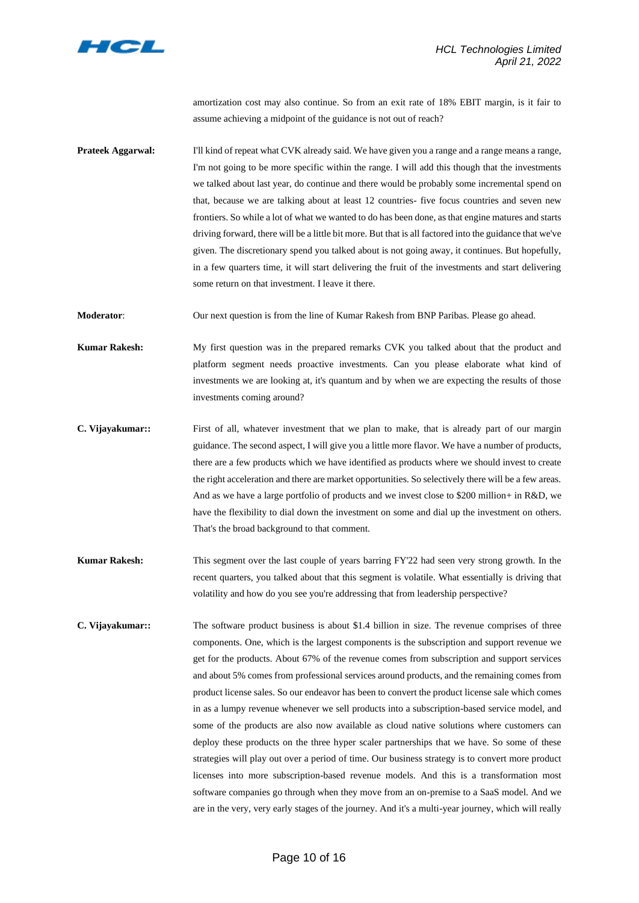

amortization cost may also continue. So from an exit rate of 18% EBIT margin, is it fair to assume achieving a midpoint of the guidance is not out of reach?

**Prateek Aggarwal:** I'll kind of repeat what CVK already said. We have given you a range and a range means a range, I'm not going to be more specific within the range. I will add this though that the investments we talked about last year, do continue and there would be probably some incremental spend on that, because we are talking about at least 12 countries- five focus countries and seven new frontiers. So while a lot of what we wanted to do has been done, as that engine matures and starts driving forward, there will be a little bit more. But that is all factored into the guidance that we've given. The discretionary spend you talked about is not going away, it continues. But hopefully, in a few quarters time, it will start delivering the fruit of the investments and start delivering some return on that investment. I leave it there.

**Moderator**: Our next question is from the line of Kumar Rakesh from BNP Paribas. Please go ahead.

**Kumar Rakesh:** My first question was in the prepared remarks CVK you talked about that the product and platform segment needs proactive investments. Can you please elaborate what kind of investments we are looking at, it's quantum and by when we are expecting the results of those investments coming around?

- **C. Vijayakumar::** First of all, whatever investment that we plan to make, that is already part of our margin guidance. The second aspect, I will give you a little more flavor. We have a number of products, there are a few products which we have identified as products where we should invest to create the right acceleration and there are market opportunities. So selectively there will be a few areas. And as we have a large portfolio of products and we invest close to \$200 million+ in R&D, we have the flexibility to dial down the investment on some and dial up the investment on others. That's the broad background to that comment.
- **Kumar Rakesh:** This segment over the last couple of years barring FY'22 had seen very strong growth. In the recent quarters, you talked about that this segment is volatile. What essentially is driving that volatility and how do you see you're addressing that from leadership perspective?
- **C. Vijayakumar::** The software product business is about \$1.4 billion in size. The revenue comprises of three components. One, which is the largest components is the subscription and support revenue we get for the products. About 67% of the revenue comes from subscription and support services and about 5% comes from professional services around products, and the remaining comes from product license sales. So our endeavor has been to convert the product license sale which comes in as a lumpy revenue whenever we sell products into a subscription-based service model, and some of the products are also now available as cloud native solutions where customers can deploy these products on the three hyper scaler partnerships that we have. So some of these strategies will play out over a period of time. Our business strategy is to convert more product licenses into more subscription-based revenue models. And this is a transformation most software companies go through when they move from an on-premise to a SaaS model. And we are in the very, very early stages of the journey. And it's a multi-year journey, which will really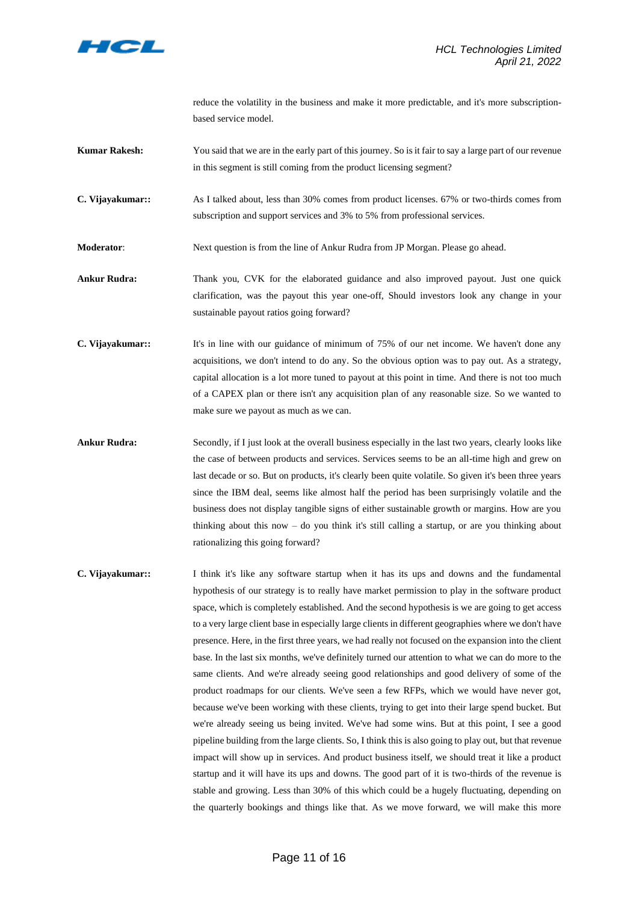

reduce the volatility in the business and make it more predictable, and it's more subscriptionbased service model.

- **Kumar Rakesh:** You said that we are in the early part of this journey. So is it fair to say a large part of our revenue in this segment is still coming from the product licensing segment?
- **C. Vijayakumar::** As I talked about, less than 30% comes from product licenses. 67% or two-thirds comes from subscription and support services and 3% to 5% from professional services.
- **Moderator**: Next question is from the line of Ankur Rudra from JP Morgan. Please go ahead.
- **Ankur Rudra:** Thank you, CVK for the elaborated guidance and also improved payout. Just one quick clarification, was the payout this year one-off, Should investors look any change in your sustainable payout ratios going forward?
- **C. Vijayakumar::** It's in line with our guidance of minimum of 75% of our net income. We haven't done any acquisitions, we don't intend to do any. So the obvious option was to pay out. As a strategy, capital allocation is a lot more tuned to payout at this point in time. And there is not too much of a CAPEX plan or there isn't any acquisition plan of any reasonable size. So we wanted to make sure we payout as much as we can.
- Ankur Rudra: Secondly, if I just look at the overall business especially in the last two years, clearly looks like the case of between products and services. Services seems to be an all-time high and grew on last decade or so. But on products, it's clearly been quite volatile. So given it's been three years since the IBM deal, seems like almost half the period has been surprisingly volatile and the business does not display tangible signs of either sustainable growth or margins. How are you thinking about this now – do you think it's still calling a startup, or are you thinking about rationalizing this going forward?
- **C. Vijayakumar::** I think it's like any software startup when it has its ups and downs and the fundamental hypothesis of our strategy is to really have market permission to play in the software product space, which is completely established. And the second hypothesis is we are going to get access to a very large client base in especially large clients in different geographies where we don't have presence. Here, in the first three years, we had really not focused on the expansion into the client base. In the last six months, we've definitely turned our attention to what we can do more to the same clients. And we're already seeing good relationships and good delivery of some of the product roadmaps for our clients. We've seen a few RFPs, which we would have never got, because we've been working with these clients, trying to get into their large spend bucket. But we're already seeing us being invited. We've had some wins. But at this point, I see a good pipeline building from the large clients. So, I think this is also going to play out, but that revenue impact will show up in services. And product business itself, we should treat it like a product startup and it will have its ups and downs. The good part of it is two-thirds of the revenue is stable and growing. Less than 30% of this which could be a hugely fluctuating, depending on the quarterly bookings and things like that. As we move forward, we will make this more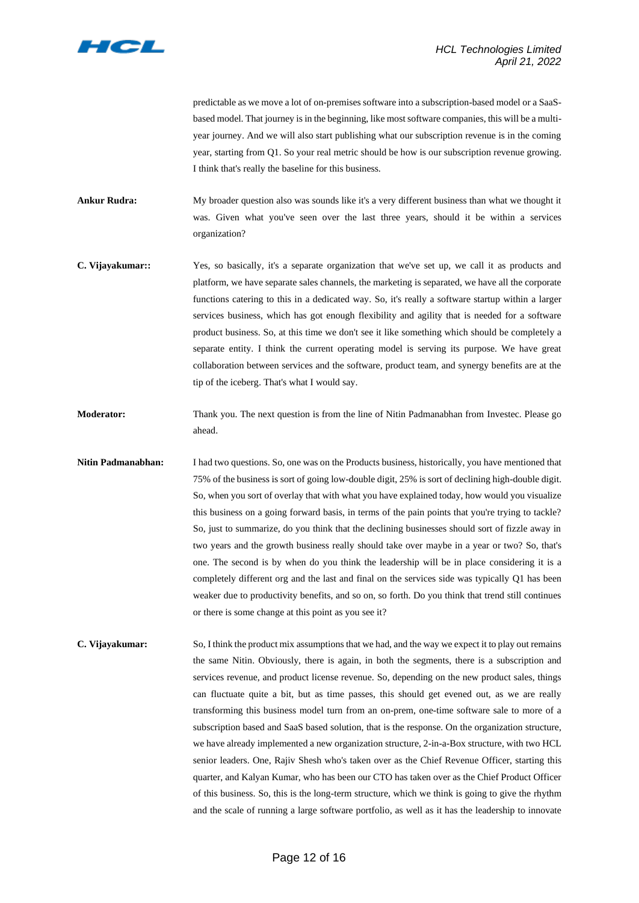

predictable as we move a lot of on-premises software into a subscription-based model or a SaaSbased model. That journey is in the beginning, like most software companies, this will be a multiyear journey. And we will also start publishing what our subscription revenue is in the coming year, starting from Q1. So your real metric should be how is our subscription revenue growing. I think that's really the baseline for this business.

**Ankur Rudra:** My broader question also was sounds like it's a very different business than what we thought it was. Given what you've seen over the last three years, should it be within a services organization?

- **C. Vijayakumar::** Yes, so basically, it's a separate organization that we've set up, we call it as products and platform, we have separate sales channels, the marketing is separated, we have all the corporate functions catering to this in a dedicated way. So, it's really a software startup within a larger services business, which has got enough flexibility and agility that is needed for a software product business. So, at this time we don't see it like something which should be completely a separate entity. I think the current operating model is serving its purpose. We have great collaboration between services and the software, product team, and synergy benefits are at the tip of the iceberg. That's what I would say.
- **Moderator:** Thank you. The next question is from the line of Nitin Padmanabhan from Investec. Please go ahead.
- **Nitin Padmanabhan:** I had two questions. So, one was on the Products business, historically, you have mentioned that 75% of the business is sort of going low-double digit, 25% is sort of declining high-double digit. So, when you sort of overlay that with what you have explained today, how would you visualize this business on a going forward basis, in terms of the pain points that you're trying to tackle? So, just to summarize, do you think that the declining businesses should sort of fizzle away in two years and the growth business really should take over maybe in a year or two? So, that's one. The second is by when do you think the leadership will be in place considering it is a completely different org and the last and final on the services side was typically Q1 has been weaker due to productivity benefits, and so on, so forth. Do you think that trend still continues or there is some change at this point as you see it?
- **C. Vijayakumar:** So, I think the product mix assumptions that we had, and the way we expect it to play out remains the same Nitin. Obviously, there is again, in both the segments, there is a subscription and services revenue, and product license revenue. So, depending on the new product sales, things can fluctuate quite a bit, but as time passes, this should get evened out, as we are really transforming this business model turn from an on-prem, one-time software sale to more of a subscription based and SaaS based solution, that is the response. On the organization structure, we have already implemented a new organization structure, 2-in-a-Box structure, with two HCL senior leaders. One, Rajiv Shesh who's taken over as the Chief Revenue Officer, starting this quarter, and Kalyan Kumar, who has been our CTO has taken over as the Chief Product Officer of this business. So, this is the long-term structure, which we think is going to give the rhythm and the scale of running a large software portfolio, as well as it has the leadership to innovate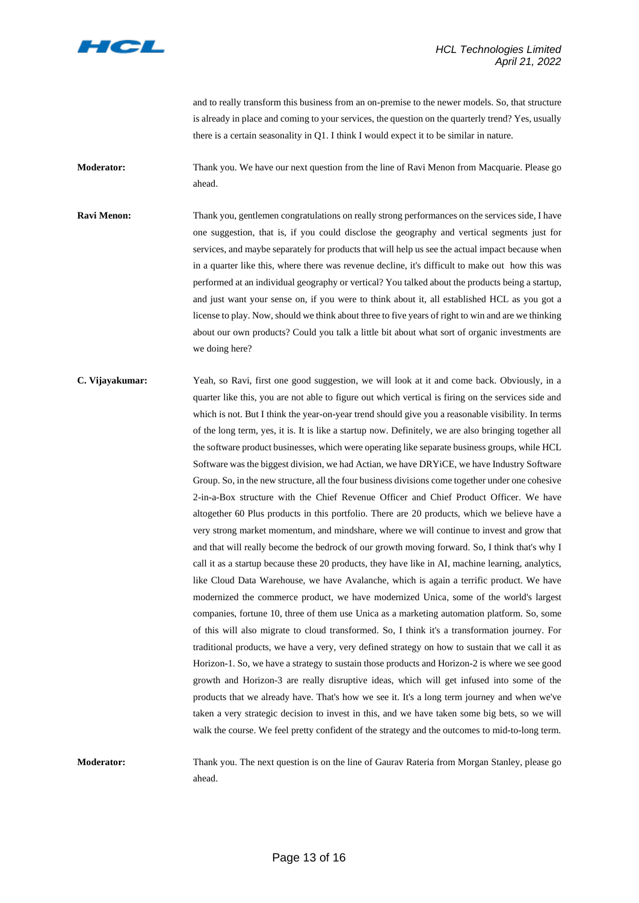

and to really transform this business from an on-premise to the newer models. So, that structure is already in place and coming to your services, the question on the quarterly trend? Yes, usually there is a certain seasonality in Q1. I think I would expect it to be similar in nature.

**Moderator:** Thank you. We have our next question from the line of Ravi Menon from Macquarie. Please go ahead.

**Ravi Menon:** Thank you, gentlemen congratulations on really strong performances on the services side, I have one suggestion, that is, if you could disclose the geography and vertical segments just for services, and maybe separately for products that will help us see the actual impact because when in a quarter like this, where there was revenue decline, it's difficult to make out how this was performed at an individual geography or vertical? You talked about the products being a startup, and just want your sense on, if you were to think about it, all established HCL as you got a license to play. Now, should we think about three to five years of right to win and are we thinking about our own products? Could you talk a little bit about what sort of organic investments are we doing here?

**C. Vijayakumar:** Yeah, so Ravi, first one good suggestion, we will look at it and come back. Obviously, in a quarter like this, you are not able to figure out which vertical is firing on the services side and which is not. But I think the year-on-year trend should give you a reasonable visibility. In terms of the long term, yes, it is. It is like a startup now. Definitely, we are also bringing together all the software product businesses, which were operating like separate business groups, while HCL Software was the biggest division, we had Actian, we have DRYiCE, we have Industry Software Group. So, in the new structure, all the four business divisions come together under one cohesive 2-in-a-Box structure with the Chief Revenue Officer and Chief Product Officer. We have altogether 60 Plus products in this portfolio. There are 20 products, which we believe have a very strong market momentum, and mindshare, where we will continue to invest and grow that and that will really become the bedrock of our growth moving forward. So, I think that's why I call it as a startup because these 20 products, they have like in AI, machine learning, analytics, like Cloud Data Warehouse, we have Avalanche, which is again a terrific product. We have modernized the commerce product, we have modernized Unica, some of the world's largest companies, fortune 10, three of them use Unica as a marketing automation platform. So, some of this will also migrate to cloud transformed. So, I think it's a transformation journey. For traditional products, we have a very, very defined strategy on how to sustain that we call it as Horizon-1. So, we have a strategy to sustain those products and Horizon-2 is where we see good growth and Horizon-3 are really disruptive ideas, which will get infused into some of the products that we already have. That's how we see it. It's a long term journey and when we've taken a very strategic decision to invest in this, and we have taken some big bets, so we will walk the course. We feel pretty confident of the strategy and the outcomes to mid-to-long term.

**Moderator:** Thank you. The next question is on the line of Gaurav Rateria from Morgan Stanley, please go ahead.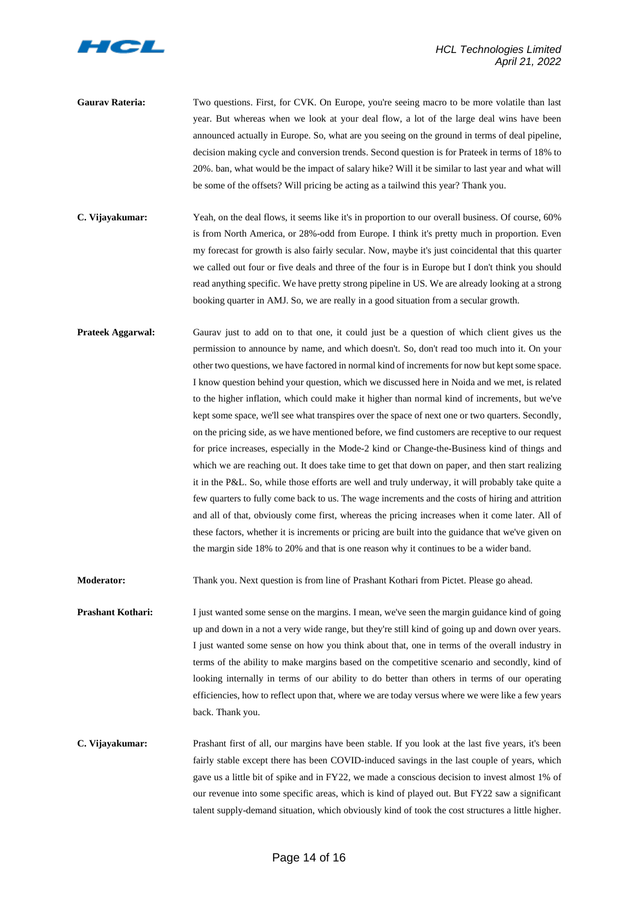

- Gaurav Rateria: Two questions. First, for CVK. On Europe, you're seeing macro to be more volatile than last year. But whereas when we look at your deal flow, a lot of the large deal wins have been announced actually in Europe. So, what are you seeing on the ground in terms of deal pipeline, decision making cycle and conversion trends. Second question is for Prateek in terms of 18% to 20%. ban, what would be the impact of salary hike? Will it be similar to last year and what will be some of the offsets? Will pricing be acting as a tailwind this year? Thank you.
- **C. Vijayakumar:** Yeah, on the deal flows, it seems like it's in proportion to our overall business. Of course, 60% is from North America, or 28%-odd from Europe. I think it's pretty much in proportion. Even my forecast for growth is also fairly secular. Now, maybe it's just coincidental that this quarter we called out four or five deals and three of the four is in Europe but I don't think you should read anything specific. We have pretty strong pipeline in US. We are already looking at a strong booking quarter in AMJ. So, we are really in a good situation from a secular growth.
- **Prateek Aggarwal:** Gaurav just to add on to that one, it could just be a question of which client gives us the permission to announce by name, and which doesn't. So, don't read too much into it. On your other two questions, we have factored in normal kind of increments for now but kept some space. I know question behind your question, which we discussed here in Noida and we met, is related to the higher inflation, which could make it higher than normal kind of increments, but we've kept some space, we'll see what transpires over the space of next one or two quarters. Secondly, on the pricing side, as we have mentioned before, we find customers are receptive to our request for price increases, especially in the Mode-2 kind or Change-the-Business kind of things and which we are reaching out. It does take time to get that down on paper, and then start realizing it in the P&L. So, while those efforts are well and truly underway, it will probably take quite a few quarters to fully come back to us. The wage increments and the costs of hiring and attrition and all of that, obviously come first, whereas the pricing increases when it come later. All of these factors, whether it is increments or pricing are built into the guidance that we've given on the margin side 18% to 20% and that is one reason why it continues to be a wider band.

**Moderator:** Thank you. Next question is from line of Prashant Kothari from Pictet. Please go ahead.

- **Prashant Kothari:** I just wanted some sense on the margins. I mean, we've seen the margin guidance kind of going up and down in a not a very wide range, but they're still kind of going up and down over years. I just wanted some sense on how you think about that, one in terms of the overall industry in terms of the ability to make margins based on the competitive scenario and secondly, kind of looking internally in terms of our ability to do better than others in terms of our operating efficiencies, how to reflect upon that, where we are today versus where we were like a few years back. Thank you.
- **C. Vijayakumar:** Prashant first of all, our margins have been stable. If you look at the last five years, it's been fairly stable except there has been COVID-induced savings in the last couple of years, which gave us a little bit of spike and in FY22, we made a conscious decision to invest almost 1% of our revenue into some specific areas, which is kind of played out. But FY22 saw a significant talent supply-demand situation, which obviously kind of took the cost structures a little higher.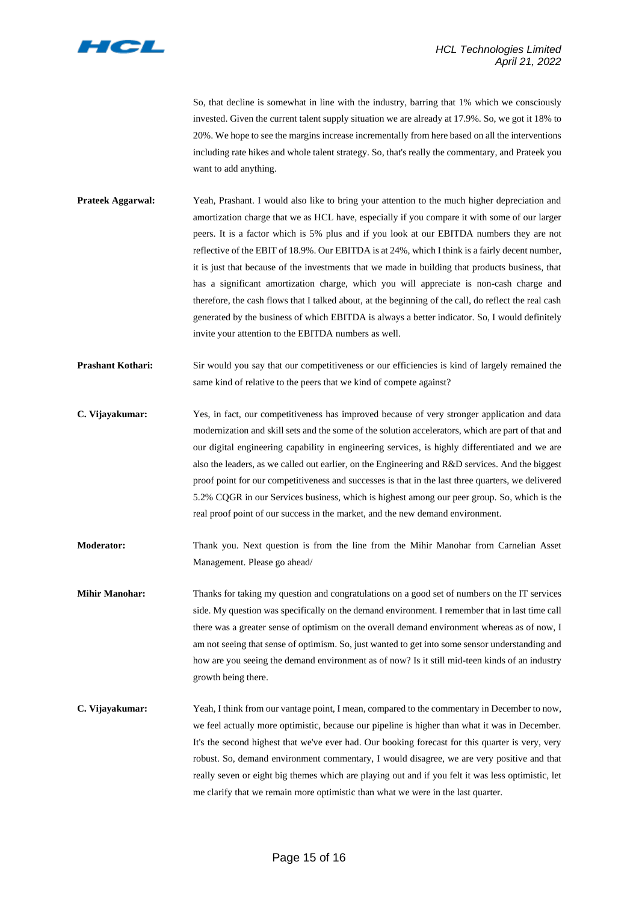

So, that decline is somewhat in line with the industry, barring that 1% which we consciously invested. Given the current talent supply situation we are already at 17.9%. So, we got it 18% to 20%. We hope to see the margins increase incrementally from here based on all the interventions including rate hikes and whole talent strategy. So, that's really the commentary, and Prateek you want to add anything.

- **Prateek Aggarwal:** Yeah, Prashant. I would also like to bring your attention to the much higher depreciation and amortization charge that we as HCL have, especially if you compare it with some of our larger peers. It is a factor which is 5% plus and if you look at our EBITDA numbers they are not reflective of the EBIT of 18.9%. Our EBITDA is at 24%, which I think is a fairly decent number, it is just that because of the investments that we made in building that products business, that has a significant amortization charge, which you will appreciate is non-cash charge and therefore, the cash flows that I talked about, at the beginning of the call, do reflect the real cash generated by the business of which EBITDA is always a better indicator. So, I would definitely invite your attention to the EBITDA numbers as well.
- **Prashant Kothari:** Sir would you say that our competitiveness or our efficiencies is kind of largely remained the same kind of relative to the peers that we kind of compete against?
- **C. Vijayakumar:** Yes, in fact, our competitiveness has improved because of very stronger application and data modernization and skill sets and the some of the solution accelerators, which are part of that and our digital engineering capability in engineering services, is highly differentiated and we are also the leaders, as we called out earlier, on the Engineering and R&D services. And the biggest proof point for our competitiveness and successes is that in the last three quarters, we delivered 5.2% CQGR in our Services business, which is highest among our peer group. So, which is the real proof point of our success in the market, and the new demand environment.
- **Moderator:** Thank you. Next question is from the line from the Mihir Manohar from Carnelian Asset Management. Please go ahead/
- **Mihir Manohar:** Thanks for taking my question and congratulations on a good set of numbers on the IT services side. My question was specifically on the demand environment. I remember that in last time call there was a greater sense of optimism on the overall demand environment whereas as of now, I am not seeing that sense of optimism. So, just wanted to get into some sensor understanding and how are you seeing the demand environment as of now? Is it still mid-teen kinds of an industry growth being there.
- **C. Vijayakumar:** Yeah, I think from our vantage point, I mean, compared to the commentary in December to now, we feel actually more optimistic, because our pipeline is higher than what it was in December. It's the second highest that we've ever had. Our booking forecast for this quarter is very, very robust. So, demand environment commentary, I would disagree, we are very positive and that really seven or eight big themes which are playing out and if you felt it was less optimistic, let me clarify that we remain more optimistic than what we were in the last quarter.